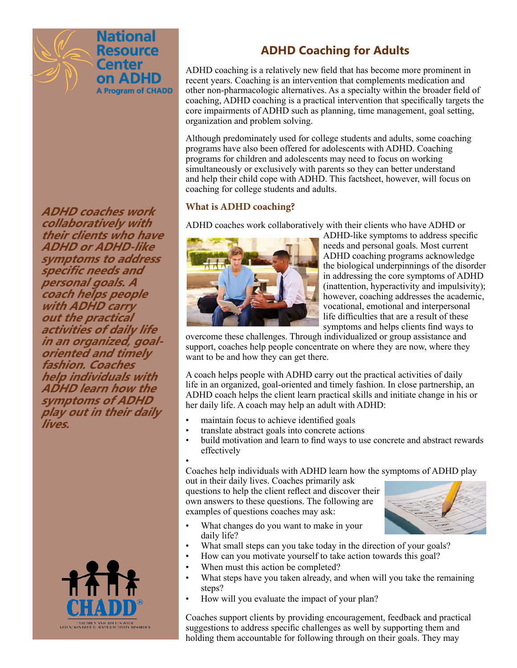

**ADHD coaches work collaboratively with their clients who have ADHD or ADHD-like symptoms to address specific needs and personal goals. A coach helps people with ADHD carry out the practical activities of daily life in an organized, goaloriented and timely fashion. Coaches help individuals with ADHD learn how the symptoms of ADHD play out in their daily lives.**



# **ADHD Coaching for Adults**

ADHD coaching is a relatively new field that has become more prominent in recent years. Coaching is an intervention that complements medication and other non-pharmacologic alternatives. As a specialty within the broader field of coaching, ADHD coaching is a practical intervention that specifically targets the core impairments of ADHD such as planning, time management, goal setting, organization and problem solving.

Although predominately used for college students and adults, some coaching programs have also been offered for adolescents with ADHD. Coaching programs for children and adolescents may need to focus on working simultaneously or exclusively with parents so they can better understand and help their child cope with ADHD. This factsheet, however, will focus on coaching for college students and adults.

# **What is ADHD coaching?**

ADHD coaches work collaboratively with their clients who have ADHD or



ADHD-like symptoms to address specific needs and personal goals. Most current ADHD coaching programs acknowledge the biological underpinnings of the disorder in addressing the core symptoms of ADHD (inattention, hyperactivity and impulsivity); however, coaching addresses the academic, vocational, emotional and interpersonal life difficulties that are a result of these symptoms and helps clients find ways to

overcome these challenges. Through individualized or group assistance and support, coaches help people concentrate on where they are now, where they want to be and how they can get there.

A coach helps people with ADHD carry out the practical activities of daily life in an organized, goal-oriented and timely fashion. In close partnership, an ADHD coach helps the client learn practical skills and initiate change in his or her daily life. A coach may help an adult with ADHD:

- maintain focus to achieve identified goals
- translate abstract goals into concrete actions<br>• build motivation and learn to find ways to us
- build motivation and learn to find ways to use concrete and abstract rewards effectively

• Coaches help individuals with ADHD learn how the symptoms of ADHD play out in their daily lives. Coaches primarily ask

questions to help the client reflect and discover their own answers to these questions. The following are examples of questions coaches may ask:

- 
- What changes do you want to make in your daily life?
- What small steps can you take today in the direction of your goals?
- How can you motivate yourself to take action towards this goal?
- When must this action be completed?
- What steps have you taken already, and when will you take the remaining steps?
- How will you evaluate the impact of your plan?

Coaches support clients by providing encouragement, feedback and practical suggestions to address specific challenges as well by supporting them and holding them accountable for following through on their goals. They may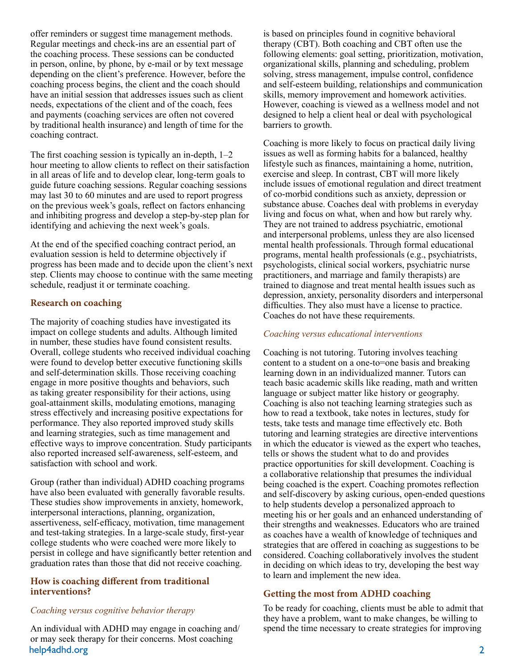offer reminders or suggest time management methods. Regular meetings and check-ins are an essential part of the coaching process. These sessions can be conducted in person, online, by phone, by e-mail or by text message depending on the client's preference. However, before the coaching process begins, the client and the coach should have an initial session that addresses issues such as client needs, expectations of the client and of the coach, fees and payments (coaching services are often not covered by traditional health insurance) and length of time for the coaching contract.

The first coaching session is typically an in-depth, 1–2 hour meeting to allow clients to reflect on their satisfaction in all areas of life and to develop clear, long-term goals to guide future coaching sessions. Regular coaching sessions may last 30 to 60 minutes and are used to report progress on the previous week's goals, reflect on factors enhancing and inhibiting progress and develop a step-by-step plan for identifying and achieving the next week's goals.

At the end of the specified coaching contract period, an evaluation session is held to determine objectively if progress has been made and to decide upon the client's next step. Clients may choose to continue with the same meeting schedule, readjust it or terminate coaching.

### **Research on coaching**

The majority of coaching studies have investigated its impact on college students and adults. Although limited in number, these studies have found consistent results. Overall, college students who received individual coaching were found to develop better executive functioning skills and self-determination skills. Those receiving coaching engage in more positive thoughts and behaviors, such as taking greater responsibility for their actions, using goal-attainment skills, modulating emotions, managing stress effectively and increasing positive expectations for performance. They also reported improved study skills and learning strategies, such as time management and effective ways to improve concentration. Study participants also reported increased self-awareness, self-esteem, and satisfaction with school and work.

Group (rather than individual) ADHD coaching programs have also been evaluated with generally favorable results. These studies show improvements in anxiety, homework, interpersonal interactions, planning, organization, assertiveness, self-efficacy, motivation, time management and test-taking strategies. In a large-scale study, first-year college students who were coached were more likely to persist in college and have significantly better retention and graduation rates than those that did not receive coaching.

### **How is coaching different from traditional interventions?**

### *Coaching versus cognitive behavior therapy*

help4adhd.org 2 An individual with ADHD may engage in coaching and/ or may seek therapy for their concerns. Most coaching

is based on principles found in cognitive behavioral therapy (CBT). Both coaching and CBT often use the following elements: goal setting, prioritization, motivation, organizational skills, planning and scheduling, problem solving, stress management, impulse control, confidence and self-esteem building, relationships and communication skills, memory improvement and homework activities. However, coaching is viewed as a wellness model and not designed to help a client heal or deal with psychological barriers to growth.

Coaching is more likely to focus on practical daily living issues as well as forming habits for a balanced, healthy lifestyle such as finances, maintaining a home, nutrition, exercise and sleep. In contrast, CBT will more likely include issues of emotional regulation and direct treatment of co-morbid conditions such as anxiety, depression or substance abuse. Coaches deal with problems in everyday living and focus on what, when and how but rarely why. They are not trained to address psychiatric, emotional and interpersonal problems, unless they are also licensed mental health professionals. Through formal educational programs, mental health professionals (e.g., psychiatrists, psychologists, clinical social workers, psychiatric nurse practitioners, and marriage and family therapists) are trained to diagnose and treat mental health issues such as depression, anxiety, personality disorders and interpersonal difficulties. They also must have a license to practice. Coaches do not have these requirements.

## *Coaching versus educational interventions*

Coaching is not tutoring. Tutoring involves teaching content to a student on a one-to=one basis and breaking learning down in an individualized manner. Tutors can teach basic academic skills like reading, math and written language or subject matter like history or geography. Coaching is also not teaching learning strategies such as how to read a textbook, take notes in lectures, study for tests, take tests and manage time effectively etc. Both tutoring and learning strategies are directive interventions in which the educator is viewed as the expert who teaches, tells or shows the student what to do and provides practice opportunities for skill development. Coaching is a collaborative relationship that presumes the individual being coached is the expert. Coaching promotes reflection and self-discovery by asking curious, open-ended questions to help students develop a personalized approach to meeting his or her goals and an enhanced understanding of their strengths and weaknesses. Educators who are trained as coaches have a wealth of knowledge of techniques and strategies that are offered in coaching as suggestions to be considered. Coaching collaboratively involves the student in deciding on which ideas to try, developing the best way to learn and implement the new idea.

## **Getting the most from ADHD coaching**

To be ready for coaching, clients must be able to admit that they have a problem, want to make changes, be willing to spend the time necessary to create strategies for improving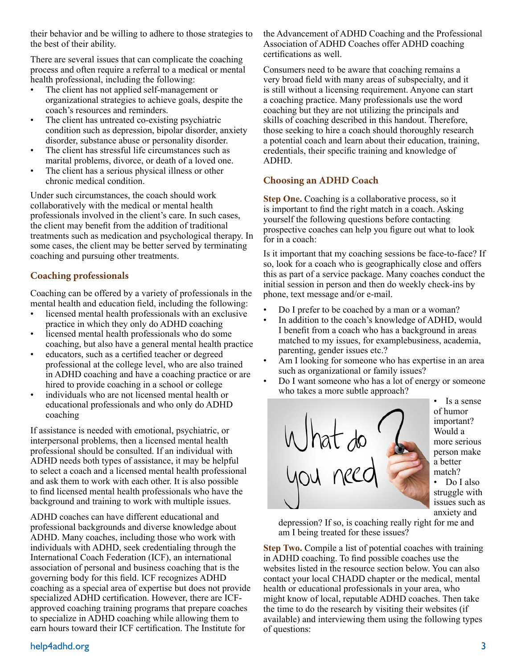their behavior and be willing to adhere to those strategies to the best of their ability.

There are several issues that can complicate the coaching process and often require a referral to a medical or mental health professional, including the following:

- The client has not applied self-management or organizational strategies to achieve goals, despite the coach's resources and reminders.
- The client has untreated co-existing psychiatric condition such as depression, bipolar disorder, anxiety disorder, substance abuse or personality disorder.
- The client has stressful life circumstances such as marital problems, divorce, or death of a loved one.
- The client has a serious physical illness or other chronic medical condition.

Under such circumstances, the coach should work collaboratively with the medical or mental health professionals involved in the client's care. In such cases, the client may benefit from the addition of traditional treatments such as medication and psychological therapy. In some cases, the client may be better served by terminating coaching and pursuing other treatments.

# **Coaching professionals**

Coaching can be offered by a variety of professionals in the mental health and education field, including the following:

- licensed mental health professionals with an exclusive practice in which they only do ADHD coaching
- licensed mental health professionals who do some coaching, but also have a general mental health practice
- educators, such as a certified teacher or degreed professional at the college level, who are also trained in ADHD coaching and have a coaching practice or are hired to provide coaching in a school or college
- individuals who are not licensed mental health or educational professionals and who only do ADHD coaching

If assistance is needed with emotional, psychiatric, or interpersonal problems, then a licensed mental health professional should be consulted. If an individual with ADHD needs both types of assistance, it may be helpful to select a coach and a licensed mental health professional and ask them to work with each other. It is also possible to find licensed mental health professionals who have the background and training to work with multiple issues.

ADHD coaches can have different educational and professional backgrounds and diverse knowledge about ADHD. Many coaches, including those who work with individuals with ADHD, seek credentialing through the International Coach Federation (ICF), an international association of personal and business coaching that is the governing body for this field. ICF recognizes ADHD coaching as a special area of expertise but does not provide specialized ADHD certification. However, there are ICFapproved coaching training programs that prepare coaches to specialize in ADHD coaching while allowing them to earn hours toward their ICF certification. The Institute for

## the Advancement of ADHD Coaching and the Professional Association of ADHD Coaches offer ADHD coaching certifications as well.

Consumers need to be aware that coaching remains a very broad field with many areas of subspecialty, and it is still without a licensing requirement. Anyone can start a coaching practice. Many professionals use the word coaching but they are not utilizing the principals and skills of coaching described in this handout. Therefore, those seeking to hire a coach should thoroughly research a potential coach and learn about their education, training, credentials, their specific training and knowledge of ADHD.

## **Choosing an ADHD Coach**

**Step One.** Coaching is a collaborative process, so it is important to find the right match in a coach. Asking yourself the following questions before contacting prospective coaches can help you figure out what to look for in a coach:

Is it important that my coaching sessions be face-to-face? If so, look for a coach who is geographically close and offers this as part of a service package. Many coaches conduct the initial session in person and then do weekly check-ins by phone, text message and/or e-mail.

- Do I prefer to be coached by a man or a woman?
- In addition to the coach's knowledge of ADHD, would I benefit from a coach who has a background in areas matched to my issues, for examplebusiness, academia, parenting, gender issues etc.?
- Am I looking for someone who has expertise in an area such as organizational or family issues?
- Do I want someone who has a lot of energy or someone who takes a more subtle approach?



• Is a sense of humor important? Would a more serious person make a better match? • Do I also

struggle with issues such as anxiety and

depression? If so, is coaching really right for me and am I being treated for these issues?

**Step Two.** Compile a list of potential coaches with training in ADHD coaching. To find possible coaches use the websites listed in the resource section below. You can also contact your local CHADD chapter or the medical, mental health or educational professionals in your area, who might know of local, reputable ADHD coaches. Then take the time to do the research by visiting their websites (if available) and interviewing them using the following types of questions: